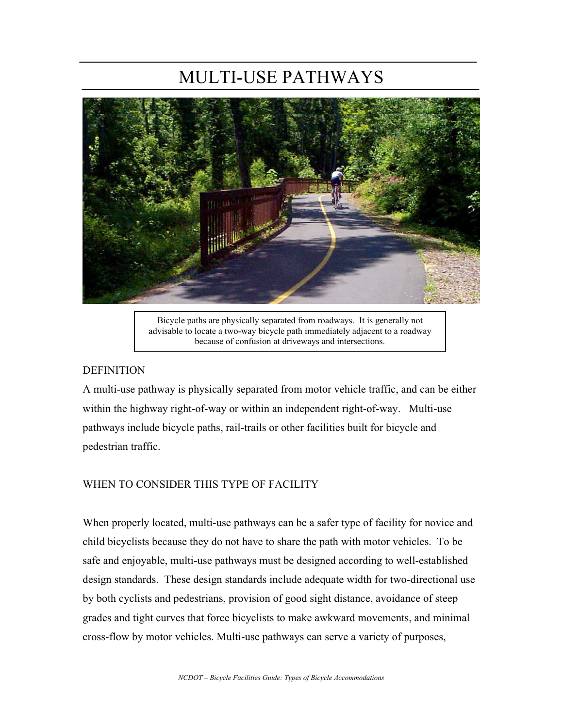# MULTI-USE PATHWAYS



Bicycle paths are physically separated from roadways. It is generally not advisable to locate a two-way bicycle path immediately adjacent to a roadway because of confusion at driveways and intersections.

#### **DEFINITION**

A multi-use pathway is physically separated from motor vehicle traffic, and can be either within the highway right-of-way or within an independent right-of-way. Multi-use pathways include bicycle paths, rail-trails or other facilities built for bicycle and pedestrian traffic.

#### WHEN TO CONSIDER THIS TYPE OF FACILITY

When properly located, multi-use pathways can be a safer type of facility for novice and child bicyclists because they do not have to share the path with motor vehicles. To be safe and enjoyable, multi-use pathways must be designed according to well-established design standards. These design standards include adequate width for two-directional use by both cyclists and pedestrians, provision of good sight distance, avoidance of steep grades and tight curves that force bicyclists to make awkward movements, and minimal cross-flow by motor vehicles. Multi-use pathways can serve a variety of purposes,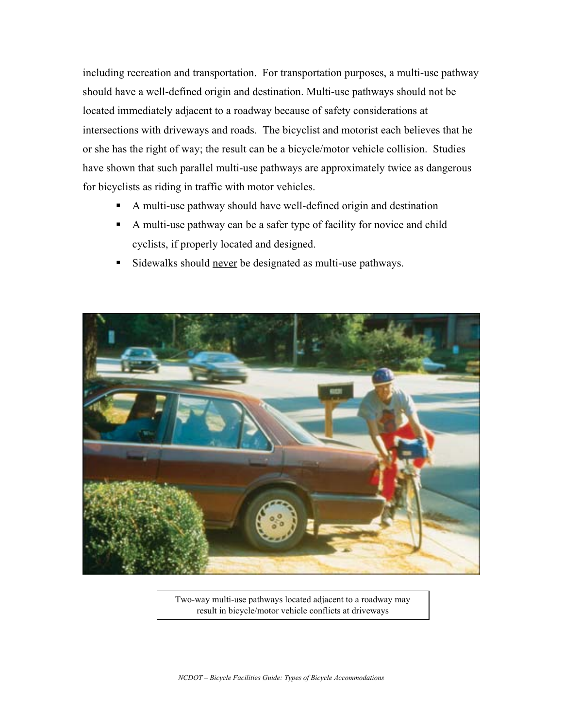including recreation and transportation. For transportation purposes, a multi-use pathway should have a well-defined origin and destination. Multi-use pathways should not be located immediately adjacent to a roadway because of safety considerations at intersections with driveways and roads. The bicyclist and motorist each believes that he or she has the right of way; the result can be a bicycle/motor vehicle collision. Studies have shown that such parallel multi-use pathways are approximately twice as dangerous for bicyclists as riding in traffic with motor vehicles.

- A multi-use pathway should have well-defined origin and destination
- A multi-use pathway can be a safer type of facility for novice and child cyclists, if properly located and designed.
- Sidewalks should never be designated as multi-use pathways.



Two-way multi-use pathways located adjacent to a roadway may result in bicycle/motor vehicle conflicts at driveways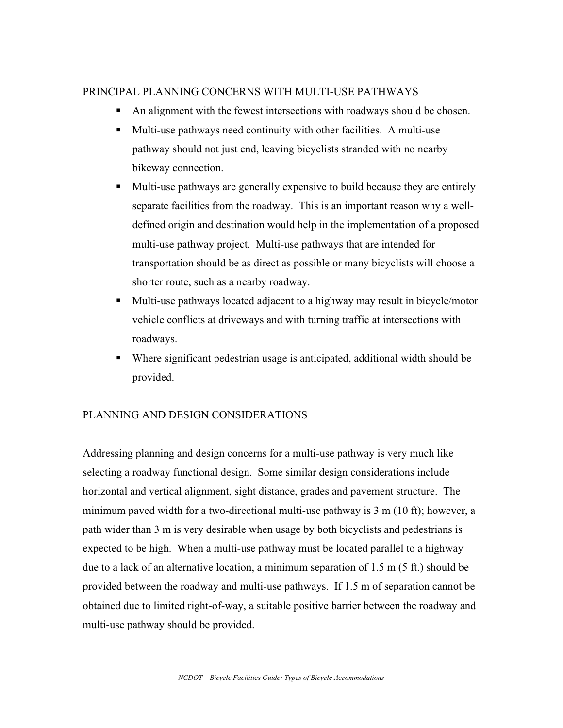#### PRINCIPAL PLANNING CONCERNS WITH MULTI-USE PATHWAYS

- An alignment with the fewest intersections with roadways should be chosen.
- Multi-use pathways need continuity with other facilities. A multi-use pathway should not just end, leaving bicyclists stranded with no nearby bikeway connection.
- Multi-use pathways are generally expensive to build because they are entirely separate facilities from the roadway. This is an important reason why a welldefined origin and destination would help in the implementation of a proposed multi-use pathway project. Multi-use pathways that are intended for transportation should be as direct as possible or many bicyclists will choose a shorter route, such as a nearby roadway.
- Multi-use pathways located adjacent to a highway may result in bicycle/motor vehicle conflicts at driveways and with turning traffic at intersections with roadways.
- Where significant pedestrian usage is anticipated, additional width should be provided.

#### PLANNING AND DESIGN CONSIDERATIONS

Addressing planning and design concerns for a multi-use pathway is very much like selecting a roadway functional design. Some similar design considerations include horizontal and vertical alignment, sight distance, grades and pavement structure. The minimum paved width for a two-directional multi-use pathway is 3 m (10 ft); however, a path wider than 3 m is very desirable when usage by both bicyclists and pedestrians is expected to be high. When a multi-use pathway must be located parallel to a highway due to a lack of an alternative location, a minimum separation of 1.5 m (5 ft.) should be provided between the roadway and multi-use pathways. If 1.5 m of separation cannot be obtained due to limited right-of-way, a suitable positive barrier between the roadway and multi-use pathway should be provided.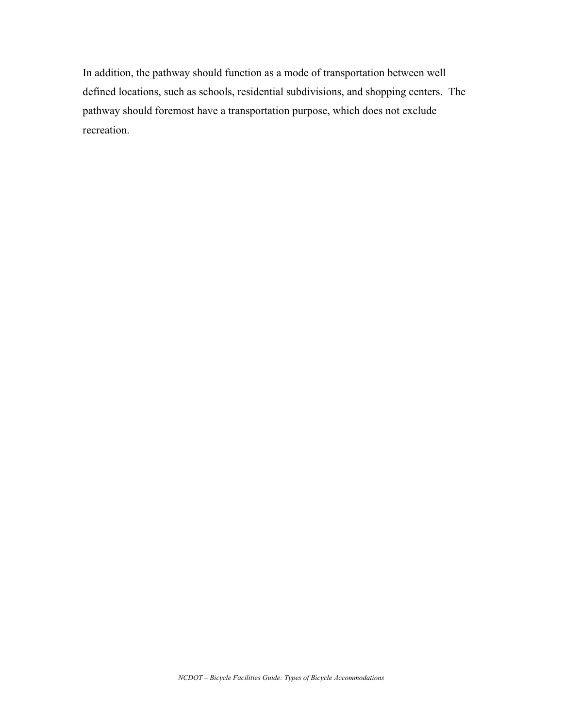In addition, the pathway should function as a mode of transportation between well defined locations, such as schools, residential subdivisions, and shopping centers. The pathway should foremost have a transportation purpose, which does not exclude recreation.